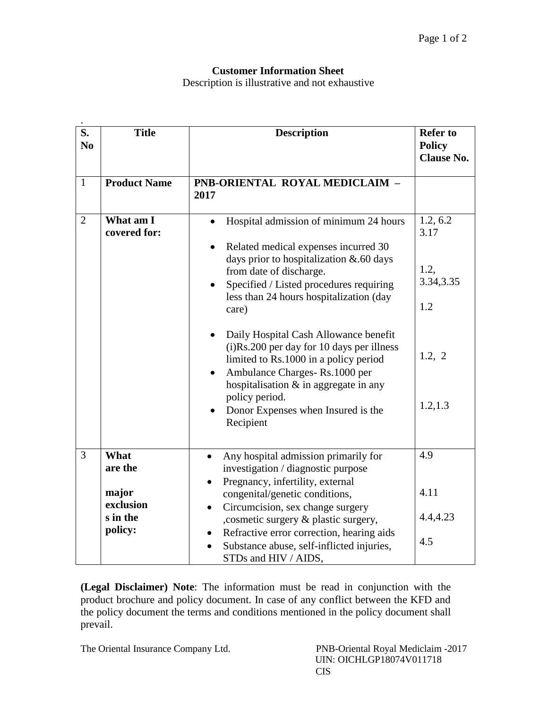## **Customer Information Sheet**

Description is illustrative and not exhaustive

| $\overline{\mathbf{S}}$ .<br>N <sub>0</sub> | <b>Title</b>                                                 | <b>Description</b>                                                                                                                                                                                                                                                                                                                                                                                                                                                                                                                    | <b>Refer to</b><br><b>Policy</b><br><b>Clause No.</b>               |
|---------------------------------------------|--------------------------------------------------------------|---------------------------------------------------------------------------------------------------------------------------------------------------------------------------------------------------------------------------------------------------------------------------------------------------------------------------------------------------------------------------------------------------------------------------------------------------------------------------------------------------------------------------------------|---------------------------------------------------------------------|
| $\mathbf{1}$                                | <b>Product Name</b>                                          | PNB-ORIENTAL ROYAL MEDICLAIM -<br>2017                                                                                                                                                                                                                                                                                                                                                                                                                                                                                                |                                                                     |
| $\overline{2}$                              | What am I<br>covered for:                                    | Hospital admission of minimum 24 hours<br>Related medical expenses incurred 30<br>days prior to hospitalization & .60 days<br>from date of discharge.<br>Specified / Listed procedures requiring<br>less than 24 hours hospitalization (day<br>care)<br>Daily Hospital Cash Allowance benefit<br>(i)Rs.200 per day for 10 days per illness<br>limited to Rs.1000 in a policy period<br>Ambulance Charges-Rs.1000 per<br>hospitalisation $\&$ in aggregate in any<br>policy period.<br>Donor Expenses when Insured is the<br>Recipient | 1.2, 6.2<br>3.17<br>1.2,<br>3.34, 3.35<br>1.2<br>1.2, 2<br>1.2, 1.3 |
| 3                                           | What<br>are the<br>major<br>exclusion<br>s in the<br>policy: | Any hospital admission primarily for<br>$\bullet$<br>investigation / diagnostic purpose<br>Pregnancy, infertility, external<br>congenital/genetic conditions,<br>Circumcision, sex change surgery<br>$\bullet$<br>, cosmetic surgery & plastic surgery,<br>Refractive error correction, hearing aids<br>$\bullet$<br>Substance abuse, self-inflicted injuries,<br>STDs and HIV / AIDS,                                                                                                                                                | 4.9<br>4.11<br>4.4,4.23<br>4.5                                      |

**(Legal Disclaimer) Note**: The information must be read in conjunction with the product brochure and policy document. In case of any conflict between the KFD and the policy document the terms and conditions mentioned in the policy document shall prevail.

The Oriental Insurance Company Ltd. PNB-Oriental Royal Mediclaim -2017

 UIN: OICHLGP18074V011718 CIS